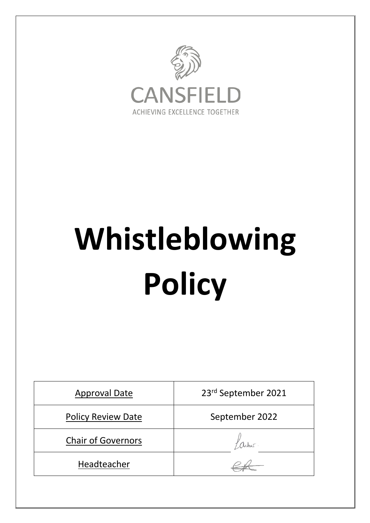

# **Whistleblowing Policy**

| <b>Approval Date</b>      | 23rd September 2021 |
|---------------------------|---------------------|
| <b>Policy Review Date</b> | September 2022      |
| <b>Chair of Governors</b> |                     |
| Headteacher               |                     |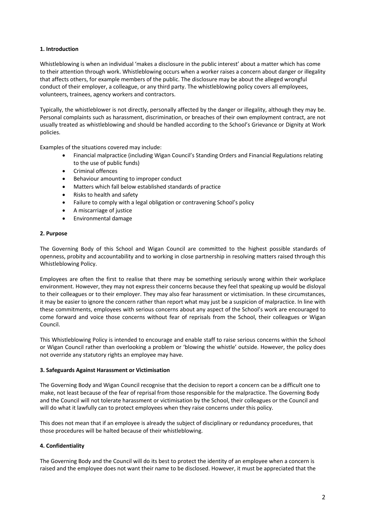# **1. Introduction**

Whistleblowing is when an individual 'makes a disclosure in the public interest' about a matter which has come to their attention through work. Whistleblowing occurs when a worker raises a concern about danger or illegality that affects others, for example members of the public. The disclosure may be about the alleged wrongful conduct of their employer, a colleague, or any third party. The whistleblowing policy covers all employees, volunteers, trainees, agency workers and contractors.

Typically, the whistleblower is not directly, personally affected by the danger or illegality, although they may be. Personal complaints such as harassment, discrimination, or breaches of their own employment contract, are not usually treated as whistleblowing and should be handled according to the School's Grievance or Dignity at Work policies.

Examples of the situations covered may include:

- Financial malpractice (including Wigan Council's Standing Orders and Financial Regulations relating to the use of public funds)
- Criminal offences
- Behaviour amounting to improper conduct
- Matters which fall below established standards of practice
- Risks to health and safety
- Failure to comply with a legal obligation or contravening School's policy
- A miscarriage of justice
- Environmental damage

## **2. Purpose**

The Governing Body of this School and Wigan Council are committed to the highest possible standards of openness, probity and accountability and to working in close partnership in resolving matters raised through this Whistleblowing Policy.

Employees are often the first to realise that there may be something seriously wrong within their workplace environment. However, they may not express their concerns because they feel that speaking up would be disloyal to their colleagues or to their employer. They may also fear harassment or victimisation. In these circumstances, it may be easier to ignore the concern rather than report what may just be a suspicion of malpractice. In line with these commitments, employees with serious concerns about any aspect of the School's work are encouraged to come forward and voice those concerns without fear of reprisals from the School, their colleagues or Wigan Council.

This Whistleblowing Policy is intended to encourage and enable staff to raise serious concerns within the School or Wigan Council rather than overlooking a problem or 'blowing the whistle' outside. However, the policy does not override any statutory rights an employee may have.

## **3. Safeguards Against Harassment or Victimisation**

The Governing Body and Wigan Council recognise that the decision to report a concern can be a difficult one to make, not least because of the fear of reprisal from those responsible for the malpractice. The Governing Body and the Council will not tolerate harassment or victimisation by the School, their colleagues or the Council and will do what it lawfully can to protect employees when they raise concerns under this policy.

This does not mean that if an employee is already the subject of disciplinary or redundancy procedures, that those procedures will be halted because of their whistleblowing.

# **4. Confidentiality**

The Governing Body and the Council will do its best to protect the identity of an employee when a concern is raised and the employee does not want their name to be disclosed. However, it must be appreciated that the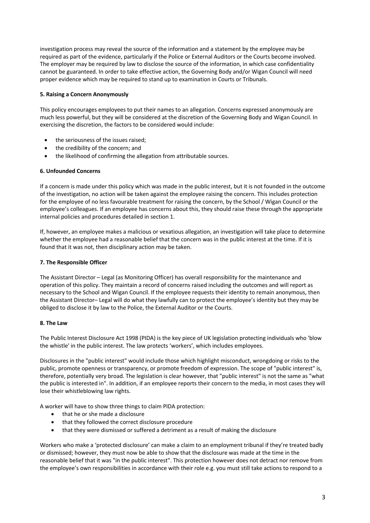investigation process may reveal the source of the information and a statement by the employee may be required as part of the evidence, particularly if the Police or External Auditors or the Courts become involved. The employer may be required by law to disclose the source of the information, in which case confidentiality cannot be guaranteed. In order to take effective action, the Governing Body and/or Wigan Council will need proper evidence which may be required to stand up to examination in Courts or Tribunals.

# **5. Raising a Concern Anonymously**

This policy encourages employees to put their names to an allegation. Concerns expressed anonymously are much less powerful, but they will be considered at the discretion of the Governing Body and Wigan Council. In exercising the discretion, the factors to be considered would include:

- the seriousness of the issues raised;
- the credibility of the concern; and
- the likelihood of confirming the allegation from attributable sources.

## **6. Unfounded Concerns**

If a concern is made under this policy which was made in the public interest, but it is not founded in the outcome of the investigation, no action will be taken against the employee raising the concern. This includes protection for the employee of no less favourable treatment for raising the concern, by the School / Wigan Council or the employee's colleagues. If an employee has concerns about this, they should raise these through the appropriate internal policies and procedures detailed in section 1.

If, however, an employee makes a malicious or vexatious allegation, an investigation will take place to determine whether the employee had a reasonable belief that the concern was in the public interest at the time. If it is found that it was not, then disciplinary action may be taken.

## **7. The Responsible Officer**

The Assistant Director – Legal (as Monitoring Officer) has overall responsibility for the maintenance and operation of this policy. They maintain a record of concerns raised including the outcomes and will report as necessary to the School and Wigan Council. If the employee requests their identity to remain anonymous, then the Assistant Director– Legal will do what they lawfully can to protect the employee's identity but they may be obliged to disclose it by law to the Police, the External Auditor or the Courts.

## **8. The Law**

The Public Interest Disclosure Act 1998 (PIDA) is the key piece of UK legislation protecting individuals who 'blow the whistle' in the public interest. The law protects 'workers', which includes employees.

Disclosures in the "public interest" would include those which highlight misconduct, wrongdoing or risks to the public, promote openness or transparency, or promote freedom of expression. The scope of "public interest" is, therefore, potentially very broad. The legislation is clear however, that "public interest" is not the same as "what the public is interested in". In addition, if an employee reports their concern to the media, in most cases they will lose their whistleblowing law rights.

A worker will have to show three things to claim PIDA protection:

- that he or she made a disclosure
- that they followed the correct disclosure procedure
- that they were dismissed or suffered a detriment as a result of making the disclosure

Workers who make a 'protected disclosure' can make a claim to an employment tribunal if they're treated badly or dismissed; however, they must now be able to show that the disclosure was made at the time in the reasonable belief that it was "in the public interest". This protection however does not detract nor remove from the employee's own responsibilities in accordance with their role e.g. you must still take actions to respond to a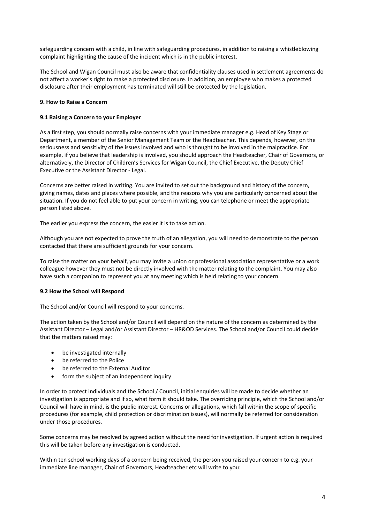safeguarding concern with a child, in line with safeguarding procedures, in addition to raising a whistleblowing complaint highlighting the cause of the incident which is in the public interest.

The School and Wigan Council must also be aware that confidentiality clauses used in settlement agreements do not affect a worker's right to make a protected disclosure. In addition, an employee who makes a protected disclosure after their employment has terminated will still be protected by the legislation.

# **9. How to Raise a Concern**

# **9.1 Raising a Concern to your Employer**

As a first step, you should normally raise concerns with your immediate manager e.g. Head of Key Stage or Department, a member of the Senior Management Team or the Headteacher. This depends, however, on the seriousness and sensitivity of the issues involved and who is thought to be involved in the malpractice. For example, if you believe that leadership is involved, you should approach the Headteacher, Chair of Governors, or alternatively, the Director of Children's Services for Wigan Council, the Chief Executive, the Deputy Chief Executive or the Assistant Director - Legal.

Concerns are better raised in writing. You are invited to set out the background and history of the concern, giving names, dates and places where possible, and the reasons why you are particularly concerned about the situation. If you do not feel able to put your concern in writing, you can telephone or meet the appropriate person listed above.

The earlier you express the concern, the easier it is to take action.

Although you are not expected to prove the truth of an allegation, you will need to demonstrate to the person contacted that there are sufficient grounds for your concern.

To raise the matter on your behalf, you may invite a union or professional association representative or a work colleague however they must not be directly involved with the matter relating to the complaint. You may also have such a companion to represent you at any meeting which is held relating to your concern.

# **9.2 How the School will Respond**

The School and/or Council will respond to your concerns.

The action taken by the School and/or Council will depend on the nature of the concern as determined by the Assistant Director – Legal and/or Assistant Director – HR&OD Services. The School and/or Council could decide that the matters raised may:

- be investigated internally
- be referred to the Police
- be referred to the External Auditor
- form the subject of an independent inquiry

In order to protect individuals and the School / Council, initial enquiries will be made to decide whether an investigation is appropriate and if so, what form it should take. The overriding principle, which the School and/or Council will have in mind, is the public interest. Concerns or allegations, which fall within the scope of specific procedures (for example, child protection or discrimination issues), will normally be referred for consideration under those procedures.

Some concerns may be resolved by agreed action without the need for investigation. If urgent action is required this will be taken before any investigation is conducted.

Within ten school working days of a concern being received, the person you raised your concern to e.g. your immediate line manager, Chair of Governors, Headteacher etc will write to you: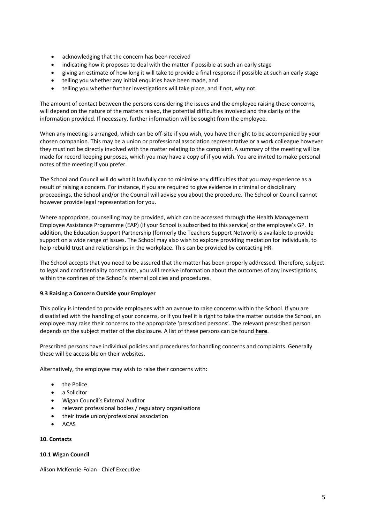- acknowledging that the concern has been received
- indicating how it proposes to deal with the matter if possible at such an early stage
- giving an estimate of how long it will take to provide a final response if possible at such an early stage
- telling you whether any initial enquiries have been made, and
- telling you whether further investigations will take place, and if not, why not.

The amount of contact between the persons considering the issues and the employee raising these concerns, will depend on the nature of the matters raised, the potential difficulties involved and the clarity of the information provided. If necessary, further information will be sought from the employee.

When any meeting is arranged, which can be off-site if you wish, you have the right to be accompanied by your chosen companion. This may be a union or professional association representative or a work colleague however they must not be directly involved with the matter relating to the complaint. A summary of the meeting will be made for record keeping purposes, which you may have a copy of if you wish. You are invited to make personal notes of the meeting if you prefer.

The School and Council will do what it lawfully can to minimise any difficulties that you may experience as a result of raising a concern. For instance, if you are required to give evidence in criminal or disciplinary proceedings, the School and/or the Council will advise you about the procedure. The School or Council cannot however provide legal representation for you.

Where appropriate, counselling may be provided, which can be accessed through the Health Management Employee Assistance Programme (EAP) (if your School is subscribed to this service) or the employee's GP. In addition, the Education Support Partnership (formerly the Teachers Support Network) is available to provide support on a wide range of issues. The School may also wish to explore providing mediation for individuals, to help rebuild trust and relationships in the workplace. This can be provided by contacting HR.

The School accepts that you need to be assured that the matter has been properly addressed. Therefore, subject to legal and confidentiality constraints, you will receive information about the outcomes of any investigations, within the confines of the School's internal policies and procedures.

## **9.3 Raising a Concern Outside your Employer**

This policy is intended to provide employees with an avenue to raise concerns within the School. If you are dissatisfied with the handling of your concerns, or if you feel it is right to take the matter outside the School, an employee may raise their concerns to the appropriate 'prescribed persons'. The relevant prescribed person depends on the subject matter of the disclosure. A list of these persons can be found **here**.

Prescribed persons have individual policies and procedures for handling concerns and complaints. Generally these will be accessible on their websites.

Alternatively, the employee may wish to raise their concerns with:

- the Police
- a Solicitor
- Wigan Council's External Auditor
- relevant professional bodies / regulatory organisations
- their trade union/professional association
- ACAS

## **10. Contacts**

## **10.1 Wigan Council**

Alison McKenzie-Folan - Chief Executive